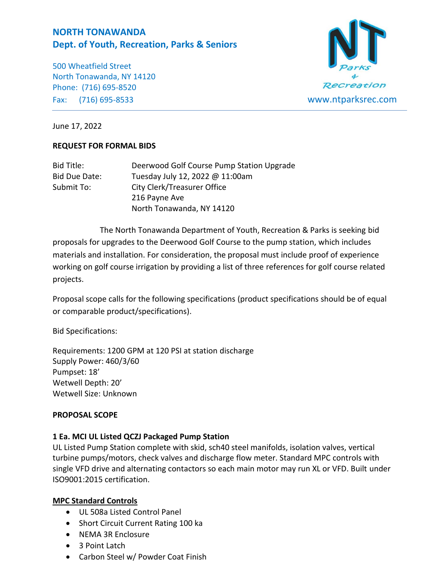# **NORTH TONAWANDA Dept. of Youth, Recreation, Parks & Seniors**

500 Wheatfield Street North Tonawanda, NY 14120 Phone: (716) 695-8520 Fax: (716) 695-8533 www.ntparksrec.com



June 17, 2022

## **REQUEST FOR FORMAL BIDS**

| Bid Title:    | Deerwood Golf Course Pump Station Upgrade |  |
|---------------|-------------------------------------------|--|
| Bid Due Date: | Tuesday July 12, 2022 @ 11:00am           |  |
| Submit To:    | <b>City Clerk/Treasurer Office</b>        |  |
|               | 216 Payne Ave                             |  |
|               | North Tonawanda, NY 14120                 |  |

The North Tonawanda Department of Youth, Recreation & Parks is seeking bid proposals for upgrades to the Deerwood Golf Course to the pump station, which includes materials and installation. For consideration, the proposal must include proof of experience working on golf course irrigation by providing a list of three references for golf course related projects.

Proposal scope calls for the following specifications (product specifications should be of equal or comparable product/specifications).

Bid Specifications:

Requirements: 1200 GPM at 120 PSI at station discharge Supply Power: 460/3/60 Pumpset: 18' Wetwell Depth: 20' Wetwell Size: Unknown

## **PROPOSAL SCOPE**

## **1 Ea. MCI UL Listed QCZJ Packaged Pump Station**

UL Listed Pump Station complete with skid, sch40 steel manifolds, isolation valves, vertical turbine pumps/motors, check valves and discharge flow meter. Standard MPC controls with single VFD drive and alternating contactors so each main motor may run XL or VFD. Built under ISO9001:2015 certification.

## **MPC Standard Controls**

- UL 508a Listed Control Panel
- Short Circuit Current Rating 100 ka
- NEMA 3R Enclosure
- 3 Point Latch
- Carbon Steel w/ Powder Coat Finish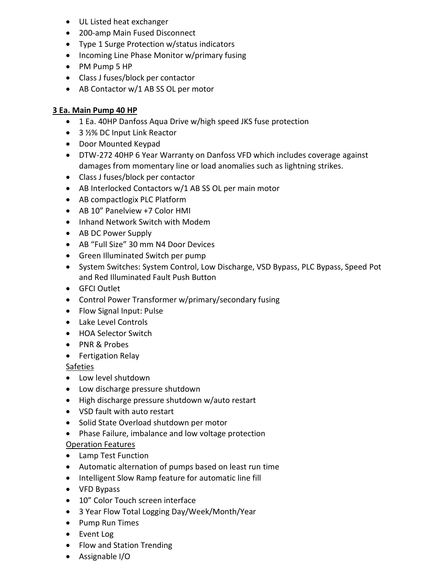- UL Listed heat exchanger
- 200-amp Main Fused Disconnect
- Type 1 Surge Protection w/status indicators
- Incoming Line Phase Monitor w/primary fusing
- PM Pump 5 HP
- Class J fuses/block per contactor
- AB Contactor w/1 AB SS OL per motor

# **3 Ea. Main Pump 40 HP**

- 1 Ea. 40HP Danfoss Aqua Drive w/high speed JKS fuse protection
- 3 ½% DC Input Link Reactor
- Door Mounted Keypad
- DTW-272 40HP 6 Year Warranty on Danfoss VFD which includes coverage against damages from momentary line or load anomalies such as lightning strikes.
- Class J fuses/block per contactor
- AB Interlocked Contactors w/1 AB SS OL per main motor
- AB compactlogix PLC Platform
- AB 10" Panelview +7 Color HMI
- Inhand Network Switch with Modem
- AB DC Power Supply
- AB "Full Size" 30 mm N4 Door Devices
- Green Illuminated Switch per pump
- System Switches: System Control, Low Discharge, VSD Bypass, PLC Bypass, Speed Pot and Red Illuminated Fault Push Button
- GFCI Outlet
- Control Power Transformer w/primary/secondary fusing
- Flow Signal Input: Pulse
- Lake Level Controls
- HOA Selector Switch
- PNR & Probes
- Fertigation Relay

Safeties

- Low level shutdown
- Low discharge pressure shutdown
- High discharge pressure shutdown w/auto restart
- VSD fault with auto restart
- Solid State Overload shutdown per motor
- Phase Failure, imbalance and low voltage protection

## Operation Features

- Lamp Test Function
- Automatic alternation of pumps based on least run time
- Intelligent Slow Ramp feature for automatic line fill
- VFD Bypass
- 10" Color Touch screen interface
- 3 Year Flow Total Logging Day/Week/Month/Year
- Pump Run Times
- Event Log
- Flow and Station Trending
- Assignable I/O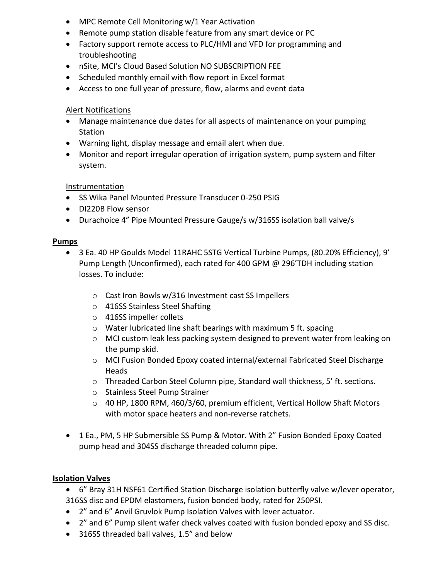- MPC Remote Cell Monitoring w/1 Year Activation
- Remote pump station disable feature from any smart device or PC
- Factory support remote access to PLC/HMI and VFD for programming and troubleshooting
- nSite, MCI's Cloud Based Solution NO SUBSCRIPTION FEE
- Scheduled monthly email with flow report in Excel format
- Access to one full year of pressure, flow, alarms and event data

## Alert Notifications

- Manage maintenance due dates for all aspects of maintenance on your pumping Station
- Warning light, display message and email alert when due.
- Monitor and report irregular operation of irrigation system, pump system and filter system.

## Instrumentation

- SS Wika Panel Mounted Pressure Transducer 0-250 PSIG
- DI220B Flow sensor
- Durachoice 4" Pipe Mounted Pressure Gauge/s w/316SS isolation ball valve/s

## **Pumps**

- 3 Ea. 40 HP Goulds Model 11RAHC 5STG Vertical Turbine Pumps, (80.20% Efficiency), 9' Pump Length (Unconfirmed), each rated for 400 GPM @ 296'TDH including station losses. To include:
	- o Cast Iron Bowls w/316 Investment cast SS Impellers
	- o 416SS Stainless Steel Shafting
	- o 416SS impeller collets
	- o Water lubricated line shaft bearings with maximum 5 ft. spacing
	- $\circ$  MCI custom leak less packing system designed to prevent water from leaking on the pump skid.
	- o MCI Fusion Bonded Epoxy coated internal/external Fabricated Steel Discharge Heads
	- o Threaded Carbon Steel Column pipe, Standard wall thickness, 5' ft. sections.
	- o Stainless Steel Pump Strainer
	- o 40 HP, 1800 RPM, 460/3/60, premium efficient, Vertical Hollow Shaft Motors with motor space heaters and non-reverse ratchets.
- 1 Ea., PM, 5 HP Submersible SS Pump & Motor. With 2" Fusion Bonded Epoxy Coated pump head and 304SS discharge threaded column pipe.

## **Isolation Valves**

- 6" Bray 31H NSF61 Certified Station Discharge isolation butterfly valve w/lever operator, 316SS disc and EPDM elastomers, fusion bonded body, rated for 250PSI.
- 2" and 6" Anvil Gruvlok Pump Isolation Valves with lever actuator.
- 2" and 6" Pump silent wafer check valves coated with fusion bonded epoxy and SS disc.
- 316SS threaded ball valves, 1.5" and below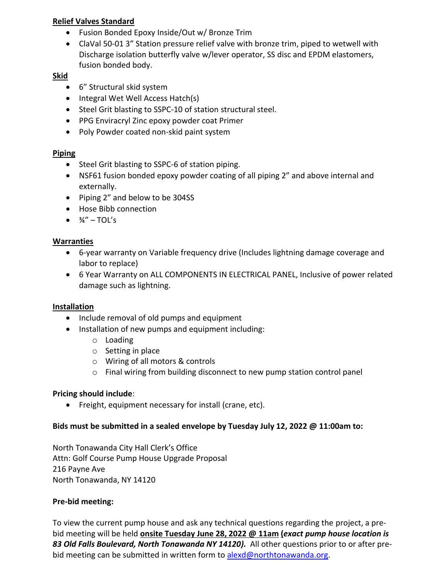# **Relief Valves Standard**

- Fusion Bonded Epoxy Inside/Out w/ Bronze Trim
- ClaVal 50-01 3" Station pressure relief valve with bronze trim, piped to wetwell with Discharge isolation butterfly valve w/lever operator, SS disc and EPDM elastomers, fusion bonded body.

# **Skid**

- 6" Structural skid system
- Integral Wet Well Access Hatch(s)
- Steel Grit blasting to SSPC-10 of station structural steel.
- PPG Enviracryl Zinc epoxy powder coat Primer
- Poly Powder coated non-skid paint system

# **Piping**

- Steel Grit blasting to SSPC-6 of station piping.
- NSF61 fusion bonded epoxy powder coating of all piping 2" and above internal and externally.
- Piping 2" and below to be 304SS
- Hose Bibb connection
- $\frac{3}{4}$ " TOL's

# **Warranties**

- 6-year warranty on Variable frequency drive (Includes lightning damage coverage and labor to replace)
- 6 Year Warranty on ALL COMPONENTS IN ELECTRICAL PANEL, Inclusive of power related damage such as lightning.

# **Installation**

- Include removal of old pumps and equipment
- Installation of new pumps and equipment including:
	- o Loading
	- o Setting in place
	- o Wiring of all motors & controls
	- o Final wiring from building disconnect to new pump station control panel

# **Pricing should include**:

• Freight, equipment necessary for install (crane, etc).

## **Bids must be submitted in a sealed envelope by Tuesday July 12, 2022 @ 11:00am to:**

North Tonawanda City Hall Clerk's Office Attn: Golf Course Pump House Upgrade Proposal 216 Payne Ave North Tonawanda, NY 14120

# **Pre-bid meeting:**

To view the current pump house and ask any technical questions regarding the project, a prebid meeting will be held **onsite Tuesday June 28, 2022 @ 11am (***exact pump house location is 83 Old Falls Boulevard, North Tonawanda NY 14120).* All other questions prior to or after prebid meeting can be submitted in written form to [alexd@northtonawanda.org.](mailto:alexd@northtonawanda.org)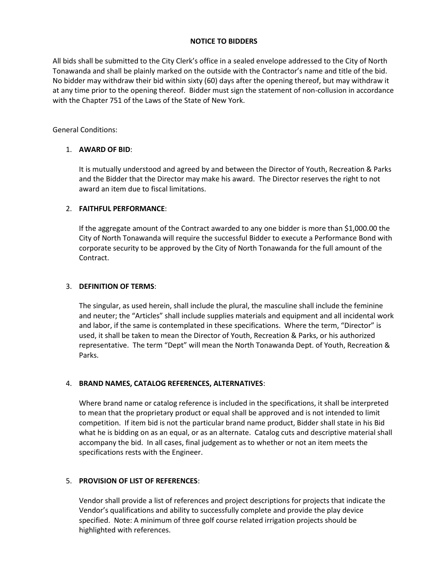#### **NOTICE TO BIDDERS**

All bids shall be submitted to the City Clerk's office in a sealed envelope addressed to the City of North Tonawanda and shall be plainly marked on the outside with the Contractor's name and title of the bid. No bidder may withdraw their bid within sixty (60) days after the opening thereof, but may withdraw it at any time prior to the opening thereof. Bidder must sign the statement of non-collusion in accordance with the Chapter 751 of the Laws of the State of New York.

General Conditions:

## 1. **AWARD OF BID**:

It is mutually understood and agreed by and between the Director of Youth, Recreation & Parks and the Bidder that the Director may make his award. The Director reserves the right to not award an item due to fiscal limitations.

### 2. **FAITHFUL PERFORMANCE**:

If the aggregate amount of the Contract awarded to any one bidder is more than \$1,000.00 the City of North Tonawanda will require the successful Bidder to execute a Performance Bond with corporate security to be approved by the City of North Tonawanda for the full amount of the Contract.

### 3. **DEFINITION OF TERMS**:

The singular, as used herein, shall include the plural, the masculine shall include the feminine and neuter; the "Articles" shall include supplies materials and equipment and all incidental work and labor, if the same is contemplated in these specifications. Where the term, "Director" is used, it shall be taken to mean the Director of Youth, Recreation & Parks, or his authorized representative. The term "Dept" will mean the North Tonawanda Dept. of Youth, Recreation & Parks.

#### 4. **BRAND NAMES, CATALOG REFERENCES, ALTERNATIVES**:

Where brand name or catalog reference is included in the specifications, it shall be interpreted to mean that the proprietary product or equal shall be approved and is not intended to limit competition. If item bid is not the particular brand name product, Bidder shall state in his Bid what he is bidding on as an equal, or as an alternate. Catalog cuts and descriptive material shall accompany the bid. In all cases, final judgement as to whether or not an item meets the specifications rests with the Engineer.

## 5. **PROVISION OF LIST OF REFERENCES**:

Vendor shall provide a list of references and project descriptions for projects that indicate the Vendor's qualifications and ability to successfully complete and provide the play device specified. Note: A minimum of three golf course related irrigation projects should be highlighted with references.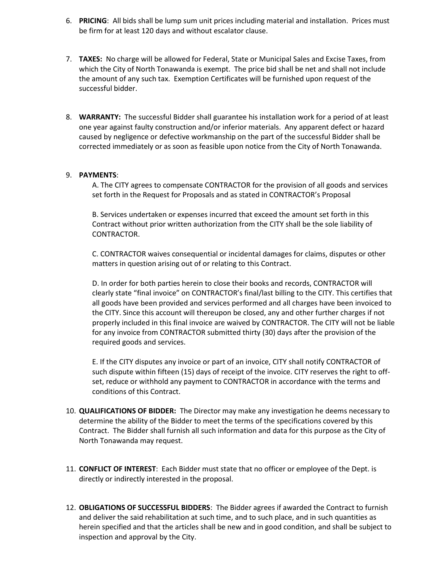- 6. **PRICING**: All bids shall be lump sum unit prices including material and installation. Prices must be firm for at least 120 days and without escalator clause.
- 7. **TAXES:** No charge will be allowed for Federal, State or Municipal Sales and Excise Taxes, from which the City of North Tonawanda is exempt. The price bid shall be net and shall not include the amount of any such tax. Exemption Certificates will be furnished upon request of the successful bidder.
- 8. **WARRANTY:** The successful Bidder shall guarantee his installation work for a period of at least one year against faulty construction and/or inferior materials. Any apparent defect or hazard caused by negligence or defective workmanship on the part of the successful Bidder shall be corrected immediately or as soon as feasible upon notice from the City of North Tonawanda.

#### 9. **PAYMENTS**:

A. The CITY agrees to compensate CONTRACTOR for the provision of all goods and services set forth in the Request for Proposals and as stated in CONTRACTOR's Proposal

B. Services undertaken or expenses incurred that exceed the amount set forth in this Contract without prior written authorization from the CITY shall be the sole liability of CONTRACTOR.

C. CONTRACTOR waives consequential or incidental damages for claims, disputes or other matters in question arising out of or relating to this Contract.

D. In order for both parties herein to close their books and records, CONTRACTOR will clearly state "final invoice" on CONTRACTOR's final/last billing to the CITY. This certifies that all goods have been provided and services performed and all charges have been invoiced to the CITY. Since this account will thereupon be closed, any and other further charges if not properly included in this final invoice are waived by CONTRACTOR. The CITY will not be liable for any invoice from CONTRACTOR submitted thirty (30) days after the provision of the required goods and services.

E. If the CITY disputes any invoice or part of an invoice, CITY shall notify CONTRACTOR of such dispute within fifteen (15) days of receipt of the invoice. CITY reserves the right to offset, reduce or withhold any payment to CONTRACTOR in accordance with the terms and conditions of this Contract.

- 10. **QUALIFICATIONS OF BIDDER:** The Director may make any investigation he deems necessary to determine the ability of the Bidder to meet the terms of the specifications covered by this Contract. The Bidder shall furnish all such information and data for this purpose as the City of North Tonawanda may request.
- 11. **CONFLICT OF INTEREST**: Each Bidder must state that no officer or employee of the Dept. is directly or indirectly interested in the proposal.
- 12. **OBLIGATIONS OF SUCCESSFUL BIDDERS**: The Bidder agrees if awarded the Contract to furnish and deliver the said rehabilitation at such time, and to such place, and in such quantities as herein specified and that the articles shall be new and in good condition, and shall be subject to inspection and approval by the City.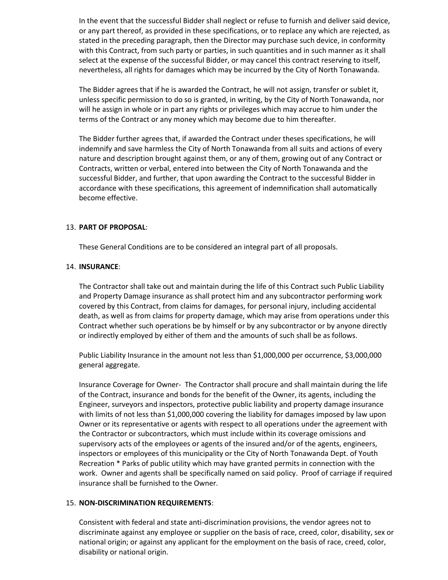In the event that the successful Bidder shall neglect or refuse to furnish and deliver said device, or any part thereof, as provided in these specifications, or to replace any which are rejected, as stated in the preceding paragraph, then the Director may purchase such device, in conformity with this Contract, from such party or parties, in such quantities and in such manner as it shall select at the expense of the successful Bidder, or may cancel this contract reserving to itself, nevertheless, all rights for damages which may be incurred by the City of North Tonawanda.

The Bidder agrees that if he is awarded the Contract, he will not assign, transfer or sublet it, unless specific permission to do so is granted, in writing, by the City of North Tonawanda, nor will he assign in whole or in part any rights or privileges which may accrue to him under the terms of the Contract or any money which may become due to him thereafter.

The Bidder further agrees that, if awarded the Contract under theses specifications, he will indemnify and save harmless the City of North Tonawanda from all suits and actions of every nature and description brought against them, or any of them, growing out of any Contract or Contracts, written or verbal, entered into between the City of North Tonawanda and the successful Bidder, and further, that upon awarding the Contract to the successful Bidder in accordance with these specifications, this agreement of indemnification shall automatically become effective.

#### 13. **PART OF PROPOSAL**:

These General Conditions are to be considered an integral part of all proposals.

#### 14. **INSURANCE**:

The Contractor shall take out and maintain during the life of this Contract such Public Liability and Property Damage insurance as shall protect him and any subcontractor performing work covered by this Contract, from claims for damages, for personal injury, including accidental death, as well as from claims for property damage, which may arise from operations under this Contract whether such operations be by himself or by any subcontractor or by anyone directly or indirectly employed by either of them and the amounts of such shall be as follows.

Public Liability Insurance in the amount not less than \$1,000,000 per occurrence, \$3,000,000 general aggregate.

Insurance Coverage for Owner- The Contractor shall procure and shall maintain during the life of the Contract, insurance and bonds for the benefit of the Owner, its agents, including the Engineer, surveyors and inspectors, protective public liability and property damage insurance with limits of not less than \$1,000,000 covering the liability for damages imposed by law upon Owner or its representative or agents with respect to all operations under the agreement with the Contractor or subcontractors, which must include within its coverage omissions and supervisory acts of the employees or agents of the insured and/or of the agents, engineers, inspectors or employees of this municipality or the City of North Tonawanda Dept. of Youth Recreation \* Parks of public utility which may have granted permits in connection with the work. Owner and agents shall be specifically named on said policy. Proof of carriage if required insurance shall be furnished to the Owner.

#### 15. **NON-DISCRIMINATION REQUIREMENTS**:

Consistent with federal and state anti-discrimination provisions, the vendor agrees not to discriminate against any employee or supplier on the basis of race, creed, color, disability, sex or national origin; or against any applicant for the employment on the basis of race, creed, color, disability or national origin.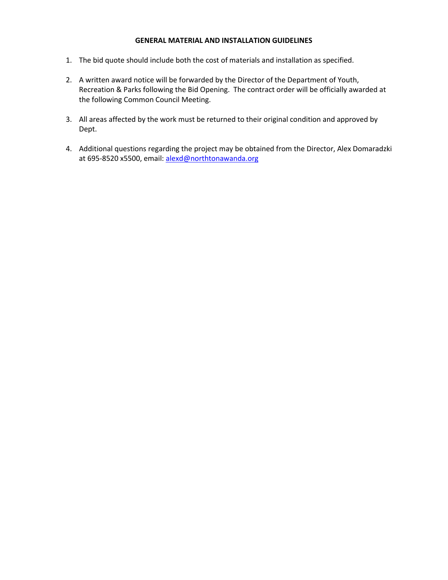#### **GENERAL MATERIAL AND INSTALLATION GUIDELINES**

- 1. The bid quote should include both the cost of materials and installation as specified.
- 2. A written award notice will be forwarded by the Director of the Department of Youth, Recreation & Parks following the Bid Opening. The contract order will be officially awarded at the following Common Council Meeting.
- 3. All areas affected by the work must be returned to their original condition and approved by Dept.
- 4. Additional questions regarding the project may be obtained from the Director, Alex Domaradzki at 695-8520 x5500, email[: alexd@northtonawanda.org](mailto:alexd@northtonawanda.org)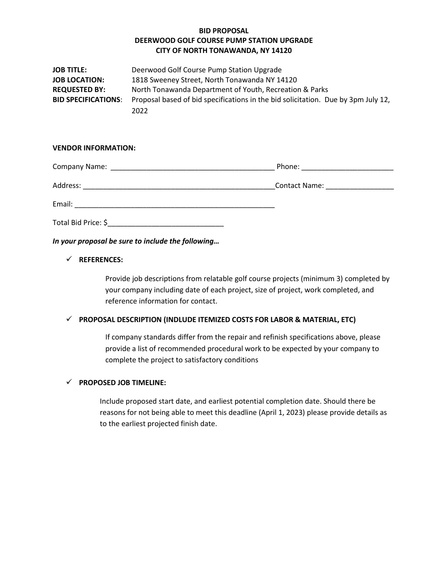### **BID PROPOSAL DEERWOOD GOLF COURSE PUMP STATION UPGRADE CITY OF NORTH TONAWANDA, NY 14120**

| <b>JOB TITLE:</b>          | Deerwood Golf Course Pump Station Upgrade                                         |  |
|----------------------------|-----------------------------------------------------------------------------------|--|
| <b>JOB LOCATION:</b>       | 1818 Sweeney Street, North Tonawanda NY 14120                                     |  |
| <b>REQUESTED BY:</b>       | North Tonawanda Department of Youth, Recreation & Parks                           |  |
| <b>BID SPECIFICATIONS:</b> | Proposal based of bid specifications in the bid solicitation. Due by 3pm July 12, |  |
|                            | 2022                                                                              |  |

#### **VENDOR INFORMATION:**

|          | Phone: ___________________    |
|----------|-------------------------------|
| Address: | Contact Name: _______________ |
| Email:   |                               |
|          |                               |

*In your proposal be sure to include the following…*

#### ✓ **REFERENCES:**

Provide job descriptions from relatable golf course projects (minimum 3) completed by your company including date of each project, size of project, work completed, and reference information for contact.

#### ✓ **PROPOSAL DESCRIPTION (INDLUDE ITEMIZED COSTS FOR LABOR & MATERIAL, ETC)**

If company standards differ from the repair and refinish specifications above, please provide a list of recommended procedural work to be expected by your company to complete the project to satisfactory conditions

#### ✓ **PROPOSED JOB TIMELINE:**

Include proposed start date, and earliest potential completion date. Should there be reasons for not being able to meet this deadline (April 1, 2023) please provide details as to the earliest projected finish date.